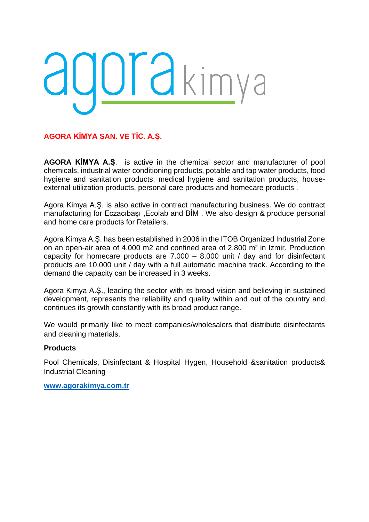# adorakimya

**AGORA KİMYA SAN. VE TİC. A.Ş.**

**AGORA KİMYA A.Ş**. is active in the chemical sector and manufacturer of pool chemicals, industrial water conditioning products, potable and tap water products, food hygiene and sanitation products, medical hygiene and sanitation products, houseexternal utilization products, personal care products and homecare products .

Agora Kimya A.Ş. is also active in contract manufacturing business. We do contract manufacturing for Eczacıbaşı ,Ecolab and BİM . We also design & produce personal and home care products for Retailers.

Agora Kimya A.Ş. has been established in 2006 in the ITOB Organized Industrial Zone on an open-air area of 4.000 m2 and confined area of 2.800 m² in Izmir. Production capacity for homecare products are 7.000 – 8.000 unit / day and for disinfectant products are 10.000 unit / day with a full automatic machine track. According to the demand the capacity can be increased in 3 weeks.

Agora Kimya A.Ş., leading the sector with its broad vision and believing in sustained development, represents the reliability and quality within and out of the country and continues its growth constantly with its broad product range.

We would primarily like to meet companies/wholesalers that distribute disinfectants and cleaning materials.

## **Products**

Pool Chemicals, Disinfectant & Hospital Hygen, Household &sanitation products& Industrial Cleaning

**[www.agorakimya.com.tr](http://www.agorakimya.com.tr/)**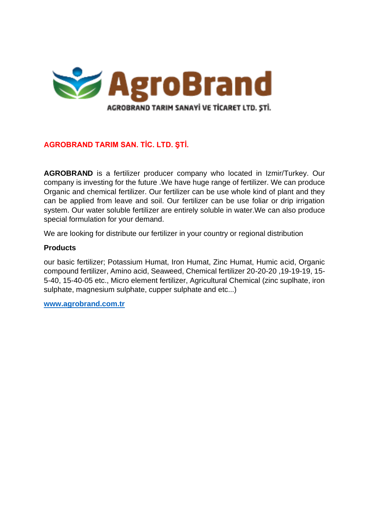

## **AGROBRAND TARIM SAN. TİC. LTD. ŞTİ.**

**AGROBRAND** is a fertilizer producer company who located in Izmir/Turkey. Our company is investing for the future .We have huge range of fertilizer. We can produce Organic and chemical fertilizer. Our fertilizer can be use whole kind of plant and they can be applied from leave and soil. Our fertilizer can be use foliar or drip irrigation system. Our water soluble fertilizer are entirely soluble in water.We can also produce special formulation for your demand.

We are looking for distribute our fertilizer in your country or regional distribution

## **Products**

our basic fertilizer; Potassium Humat, Iron Humat, Zinc Humat, Humic acid, Organic compound fertilizer, Amino acid, Seaweed, Chemical fertilizer 20-20-20 ,19-19-19, 15- 5-40, 15-40-05 etc., Micro element fertilizer, Agricultural Chemical (zinc suplhate, iron sulphate, magnesium sulphate, cupper sulphate and etc...)

**[www.agrobrand.com.tr](http://www.agrobrand.com.tr/)**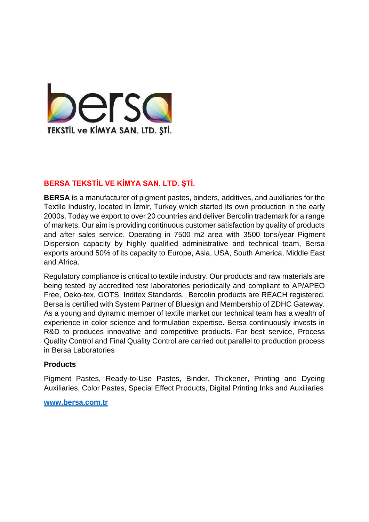

# **BERSA TEKSTİL VE KİMYA SAN. LTD. ŞTİ.**

**BERSA i**s a manufacturer of pigment pastes, binders, additives, and auxiliaries for the Textile Industry, located in İzmir, Turkey which started its own production in the early 2000s. Today we export to over 20 countries and deliver Bercolin trademark for a range of markets. Our aim is providing continuous customer satisfaction by quality of products and after sales service. Operating in 7500 m2 area with 3500 tons/year Pigment Dispersion capacity by highly qualified administrative and technical team, Bersa exports around 50% of its capacity to Europe, Asia, USA, South America, Middle East and Africa.

Regulatory compliance is critical to textile industry. Our products and raw materials are being tested by accredited test laboratories periodically and compliant to AP/APEO Free, Oeko-tex, GOTS, Inditex Standards. Bercolin products are REACH registered. Bersa is certified with System Partner of Bluesign and Membership of ZDHC Gateway. As a young and dynamic member of textile market our technical team has a wealth of experience in color science and formulation expertise. Bersa continuously invests in R&D to produces innovative and competitive products. For best service, Process Quality Control and Final Quality Control are carried out parallel to production process in Bersa Laboratories

## **Products**

Pigment Pastes, Ready-to-Use Pastes, Binder, Thickener, Printing and Dyeing Auxiliaries, Color Pastes, Special Effect Products, Digital Printing Inks and Auxiliaries

#### **[www.bersa.com.tr](http://www.bersa.com.tr/)**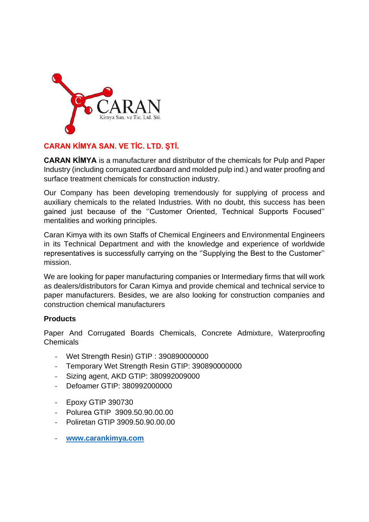

# **CARAN KİMYA SAN. VE TİC. LTD. ŞTİ.**

**CARAN KİMYA** is a manufacturer and distributor of the chemicals for Pulp and Paper Industry (including corrugated cardboard and molded pulp ind.) and water proofing and surface treatment chemicals for construction industry.

Our Company has been developing tremendously for supplying of process and auxiliary chemicals to the related Industries. With no doubt, this success has been gained just because of the ''Customer Oriented, Technical Supports Focused'' mentalities and working principles.

Caran Kimya with its own Staffs of Chemical Engineers and Environmental Engineers in its Technical Department and with the knowledge and experience of worldwide representatives is successfully carrying on the ''Supplying the Best to the Customer'' mission.

We are looking for paper manufacturing companies or Intermediary firms that will work as dealers/distributors for Caran Kimya and provide chemical and technical service to paper manufacturers. Besides, we are also looking for construction companies and construction chemical manufacturers

## **Products**

Paper And Corrugated Boards Chemicals, Concrete Admixture, Waterproofing Chemicals

- Wet Strength Resin) GTIP : 390890000000
- Temporary Wet Strength Resin GTIP: 390890000000
- Sizing agent, AKD GTIP: 380992009000
- Defoamer GTIP: 380992000000
- Epoxy GTIP 390730
- Polurea GTIP 3909.50.90.00.00
- Poliretan GTIP 3909.50.90.00.00
- **[www.carankimya.com](http://www.carankimya.com/)**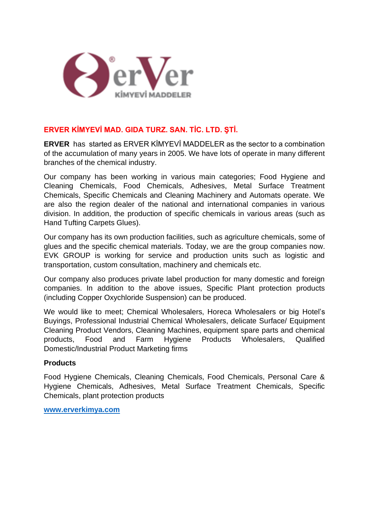

## **ERVER KİMYEVİ MAD. GIDA TURZ. SAN. TİC. LTD. ŞTİ.**

**ERVER** has started as ERVER KİMYEVİ MADDELER as the sector to a combination of the accumulation of many years in 2005. We have lots of operate in many different branches of the chemical industry.

Our company has been working in various main categories; Food Hygiene and Cleaning Chemicals, Food Chemicals, Adhesives, Metal Surface Treatment Chemicals, Specific Chemicals and Cleaning Machinery and Automats operate. We are also the region dealer of the national and international companies in various division. In addition, the production of specific chemicals in various areas (such as Hand Tufting Carpets Glues).

Our company has its own production facilities, such as agriculture chemicals, some of glues and the specific chemical materials. Today, we are the group companies now. EVK GROUP is working for service and production units such as logistic and transportation, custom consultation, machinery and chemicals etc.

Our company also produces private label production for many domestic and foreign companies. In addition to the above issues, Specific Plant protection products (including Copper Oxychloride Suspension) can be produced.

We would like to meet; Chemical Wholesalers, Horeca Wholesalers or big Hotel's Buyings, Professional Industrial Chemical Wholesalers, delicate Surface/ Equipment Cleaning Product Vendors, Cleaning Machines, equipment spare parts and chemical products, Food and Farm Hygiene Products Wholesalers, Qualified Domestic/Industrial Product Marketing firms

## **Products**

Food Hygiene Chemicals, Cleaning Chemicals, Food Chemicals, Personal Care & Hygiene Chemicals, Adhesives, Metal Surface Treatment Chemicals, Specific Chemicals, plant protection products

**[www.erverkimya.com](http://www.erverkimya.com/)**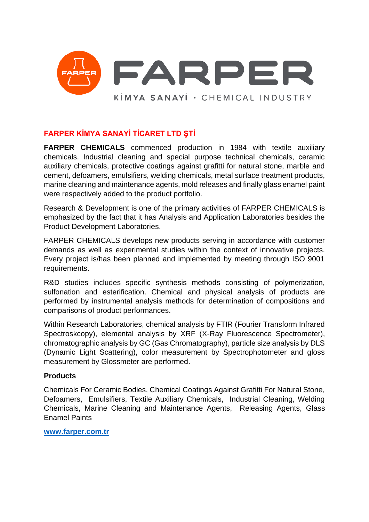

# **FARPER KİMYA SANAYİ TİCARET LTD ŞTİ**

**FARPER CHEMICALS** commenced production in 1984 with textile auxiliary chemicals. Industrial cleaning and special purpose technical chemicals, ceramic auxiliary chemicals, protective coatings against grafitti for natural stone, marble and cement, defoamers, emulsifiers, welding chemicals, metal surface treatment products, marine cleaning and maintenance agents, mold releases and finally glass enamel paint were respectively added to the product portfolio.

Research & Development is one of the primary activities of FARPER CHEMICALS is emphasized by the fact that it has Analysis and Application Laboratories besides the Product Development Laboratories.

FARPER CHEMICALS develops new products serving in accordance with customer demands as well as experimental studies within the context of innovative projects. Every project is/has been planned and implemented by meeting through ISO 9001 requirements.

R&D studies includes specific synthesis methods consisting of polymerization, sulfonation and esterification. Chemical and physical analysis of products are performed by instrumental analysis methods for determination of compositions and comparisons of product performances.

Within Research Laboratories, chemical analysis by FTIR (Fourier Transform Infrared Spectroskcopy), elemental analysis by XRF (X-Ray Fluorescence Spectrometer), chromatographic analysis by GC (Gas Chromatography), particle size analysis by DLS (Dynamic Light Scattering), color measurement by Spectrophotometer and gloss measurement by Glossmeter are performed.

## **Products**

Chemicals For Ceramic Bodies, Chemical Coatings Against Grafitti For Natural Stone, Defoamers, Emulsifiers, Textile Auxiliary Chemicals, Industrial Cleaning, Welding Chemicals, Marine Cleaning and Maintenance Agents, Releasing Agents, Glass Enamel Paints

**[www.farper.com.tr](http://www.farper.com.tr/)**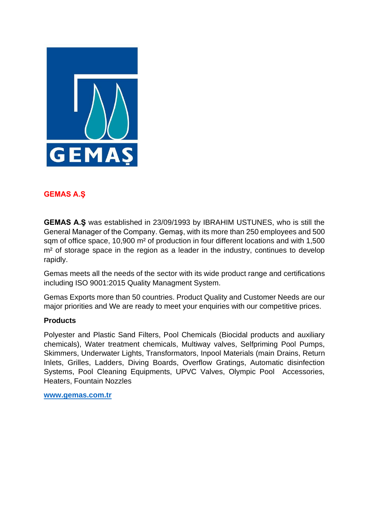

## **GEMAS A.Ş**

**GEMAS A.Ş** was established in 23/09/1993 by IBRAHIM USTUNES, who is still the General Manager of the Company. Gemaş, with its more than 250 employees and 500 sqm of office space, 10,900 m² of production in four different locations and with 1,500 m<sup>2</sup> of storage space in the region as a leader in the industry, continues to develop rapidly.

Gemas meets all the needs of the sector with its wide product range and certifications including ISO 9001:2015 Quality Managment System.

Gemas Exports more than 50 countries. Product Quality and Customer Needs are our major priorities and We are ready to meet your enquiries with our competitive prices.

## **Products**

Polyester and Plastic Sand Filters, Pool Chemicals (Biocidal products and auxiliary chemicals), Water treatment chemicals, Multiway valves, Selfpriming Pool Pumps, Skimmers, Underwater Lights, Transformators, Inpool Materials (main Drains, Return Inlets, Grilles, Ladders, Diving Boards, Overflow Gratings, Automatic disinfection Systems, Pool Cleaning Equipments, UPVC Valves, Olympic Pool Accessories, Heaters, Fountain Nozzles

**[www.gemas.com.tr](http://www.gemas.com.tr/)**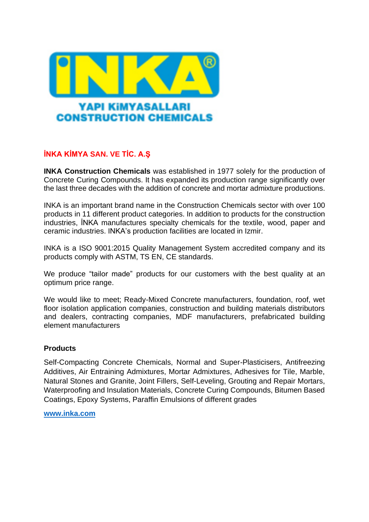

# **İNKA KİMYA SAN. VE TİC. A.Ş**

**INKA Construction Chemicals** was established in 1977 solely for the production of Concrete Curing Compounds. It has expanded its production range significantly over the last three decades with the addition of concrete and mortar admixture productions.

INKA is an important brand name in the Construction Chemicals sector with over 100 products in 11 different product categories. In addition to products for the construction industries, İNKA manufactures specialty chemicals for the textile, wood, paper and ceramic industries. INKA's production facilities are located in Izmir.

INKA is a ISO 9001:2015 Quality Management System accredited company and its products comply with ASTM, TS EN, CE standards.

We produce "tailor made" products for our customers with the best quality at an optimum price range.

We would like to meet; Ready-Mixed Concrete manufacturers, foundation, roof, wet floor isolation application companies, construction and building materials distributors and dealers, contracting companies, MDF manufacturers, prefabricated building element manufacturers

## **Products**

Self-Compacting Concrete Chemicals, Normal and Super-Plasticisers, Antifreezing Additives, Air Entraining Admixtures, Mortar Admixtures, Adhesives for Tile, Marble, Natural Stones and Granite, Joint Fillers, Self-Leveling, Grouting and Repair Mortars, Waterproofing and Insulation Materials, Concrete Curing Compounds, Bitumen Based Coatings, Epoxy Systems, Paraffin Emulsions of different grades

**[www.inka.com](http://www.inka.com/)**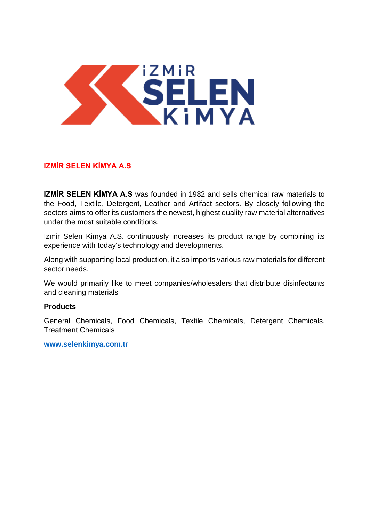

# **IZMİR SELEN KİMYA A.S**

**IZMİR SELEN KİMYA A.S** was founded in 1982 and sells chemical raw materials to the Food, Textile, Detergent, Leather and Artifact sectors. By closely following the sectors aims to offer its customers the newest, highest quality raw material alternatives under the most suitable conditions.

Izmir Selen Kimya A.S. continuously increases its product range by combining its experience with today's technology and developments.

Along with supporting local production, it also imports various raw materials for different sector needs.

We would primarily like to meet companies/wholesalers that distribute disinfectants and cleaning materials

## **Products**

General Chemicals, Food Chemicals, Textile Chemicals, Detergent Chemicals, Treatment Chemicals

**[www.selenkimya.com.tr](http://www.selenkimya.com.tr/)**